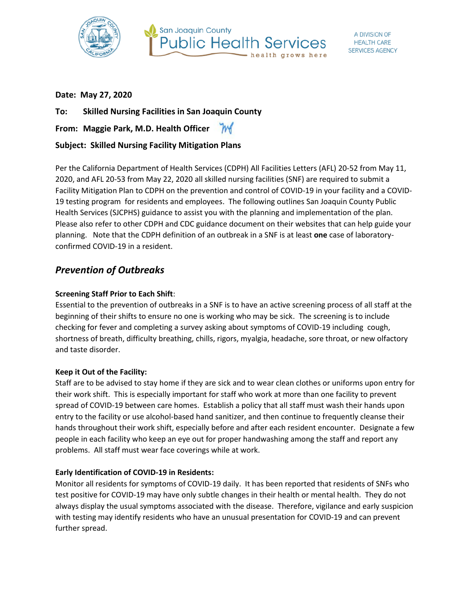



#### **Date: May 27, 2020**

**To: Skilled Nursing Facilities in San Joaquin County**

**From: Maggie Park, M.D. Health Officer**

## **Subject: Skilled Nursing Facility Mitigation Plans**

Per the California Department of Health Services (CDPH) All Facilities Letters (AFL) 20-52 from May 11, 2020, and AFL 20-53 from May 22, 2020 all skilled nursing facilities (SNF) are required to submit a Facility Mitigation Plan to CDPH on the prevention and control of COVID-19 in your facility and a COVID-19 testing program for residents and employees. The following outlines San Joaquin County Public Health Services (SJCPHS) guidance to assist you with the planning and implementation of the plan. Please also refer to other CDPH and CDC guidance document on their websites that can help guide your planning. Note that the CDPH definition of an outbreak in a SNF is at least **one** case of laboratoryconfirmed COVID-19 in a resident.

# *Prevention of Outbreaks*

#### **Screening Staff Prior to Each Shift**:

Essential to the prevention of outbreaks in a SNF is to have an active screening process of all staff at the beginning of their shifts to ensure no one is working who may be sick. The screening is to include checking for fever and completing a survey asking about symptoms of COVID-19 including cough, shortness of breath, difficulty breathing, chills, rigors, myalgia, headache, sore throat, or new olfactory and taste disorder.

#### **Keep it Out of the Facility:**

Staff are to be advised to stay home if they are sick and to wear clean clothes or uniforms upon entry for their work shift. This is especially important for staff who work at more than one facility to prevent spread of COVID-19 between care homes. Establish a policy that all staff must wash their hands upon entry to the facility or use alcohol-based hand sanitizer, and then continue to frequently cleanse their hands throughout their work shift, especially before and after each resident encounter. Designate a few people in each facility who keep an eye out for proper handwashing among the staff and report any problems. All staff must wear face coverings while at work.

#### **Early Identification of COVID-19 in Residents:**

Monitor all residents for symptoms of COVID-19 daily. It has been reported that residents of SNFs who test positive for COVID-19 may have only subtle changes in their health or mental health. They do not always display the usual symptoms associated with the disease. Therefore, vigilance and early suspicion with testing may identify residents who have an unusual presentation for COVID-19 and can prevent further spread.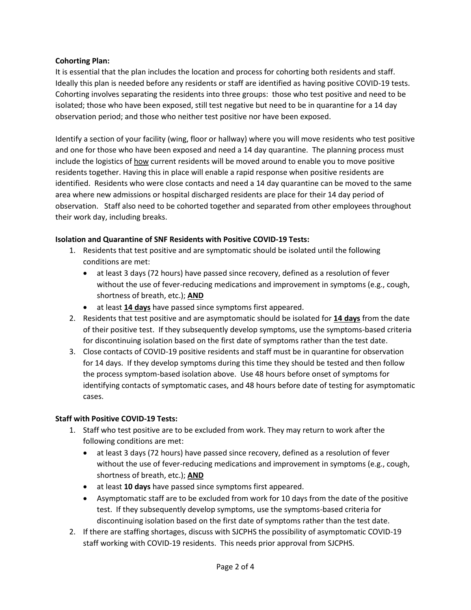#### **Cohorting Plan:**

It is essential that the plan includes the location and process for cohorting both residents and staff. Ideally this plan is needed before any residents or staff are identified as having positive COVID-19 tests. Cohorting involves separating the residents into three groups: those who test positive and need to be isolated; those who have been exposed, still test negative but need to be in quarantine for a 14 day observation period; and those who neither test positive nor have been exposed.

Identify a section of your facility (wing, floor or hallway) where you will move residents who test positive and one for those who have been exposed and need a 14 day quarantine. The planning process must include the logistics of how current residents will be moved around to enable you to move positive residents together. Having this in place will enable a rapid response when positive residents are identified. Residents who were close contacts and need a 14 day quarantine can be moved to the same area where new admissions or hospital discharged residents are place for their 14 day period of observation. Staff also need to be cohorted together and separated from other employees throughout their work day, including breaks.

#### **Isolation and Quarantine of SNF Residents with Positive COVID-19 Tests:**

- 1. Residents that test positive and are symptomatic should be isolated until the following conditions are met:
	- at least 3 days (72 hours) have passed since recovery, defined as a resolution of fever without the use of fever-reducing medications and improvement in symptoms (e.g., cough, shortness of breath, etc.); **AND**
	- at least **14 days** have passed since symptoms first appeared.
- 2. Residents that test positive and are asymptomatic should be isolated for **14 days** from the date of their positive test. If they subsequently develop symptoms, use the symptoms-based criteria for discontinuing isolation based on the first date of symptoms rather than the test date.
- 3. Close contacts of COVID-19 positive residents and staff must be in quarantine for observation for 14 days. If they develop symptoms during this time they should be tested and then follow the process symptom-based isolation above. Use 48 hours before onset of symptoms for identifying contacts of symptomatic cases, and 48 hours before date of testing for asymptomatic cases.

#### **Staff with Positive COVID-19 Tests:**

- 1. Staff who test positive are to be excluded from work. They may return to work after the following conditions are met:
	- at least 3 days (72 hours) have passed since recovery, defined as a resolution of fever without the use of fever-reducing medications and improvement in symptoms (e.g., cough, shortness of breath, etc.); **AND**
	- at least **10 days** have passed since symptoms first appeared.
	- Asymptomatic staff are to be excluded from work for 10 days from the date of the positive test. If they subsequently develop symptoms, use the symptoms-based criteria for discontinuing isolation based on the first date of symptoms rather than the test date.
- 2. If there are staffing shortages, discuss with SJCPHS the possibility of asymptomatic COVID-19 staff working with COVID-19 residents. This needs prior approval from SJCPHS.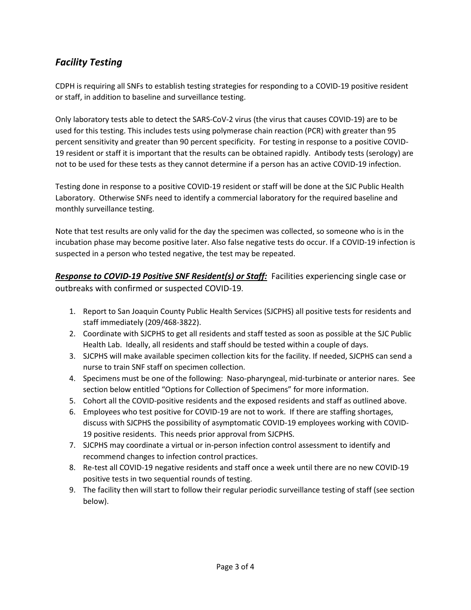# *Facility Testing*

CDPH is requiring all SNFs to establish testing strategies for responding to a COVID-19 positive resident or staff, in addition to baseline and surveillance testing.

Only laboratory tests able to detect the SARS-CoV-2 virus (the virus that causes COVID-19) are to be used for this testing. This includes tests using polymerase chain reaction (PCR) with greater than 95 percent sensitivity and greater than 90 percent specificity. For testing in response to a positive COVID-19 resident or staff it is important that the results can be obtained rapidly. Antibody tests (serology) are not to be used for these tests as they cannot determine if a person has an active COVID-19 infection.

Testing done in response to a positive COVID-19 resident or staff will be done at the SJC Public Health Laboratory. Otherwise SNFs need to identify a commercial laboratory for the required baseline and monthly surveillance testing.

Note that test results are only valid for the day the specimen was collected, so someone who is in the incubation phase may become positive later. Also false negative tests do occur. If a COVID-19 infection is suspected in a person who tested negative, the test may be repeated.

*Response to COVID-19 Positive SNF Resident(s) or Staff:* Facilities experiencing single case or outbreaks with confirmed or suspected COVID-19.

- 1. Report to San Joaquin County Public Health Services (SJCPHS) all positive tests for residents and staff immediately (209/468-3822).
- 2. Coordinate with SJCPHS to get all residents and staff tested as soon as possible at the SJC Public Health Lab. Ideally, all residents and staff should be tested within a couple of days.
- 3. SJCPHS will make available specimen collection kits for the facility. If needed, SJCPHS can send a nurse to train SNF staff on specimen collection.
- 4. Specimens must be one of the following: Naso-pharyngeal, mid-turbinate or anterior nares. See section below entitled "Options for Collection of Specimens" for more information.
- 5. Cohort all the COVID-positive residents and the exposed residents and staff as outlined above.
- 6. Employees who test positive for COVID-19 are not to work. If there are staffing shortages, discuss with SJCPHS the possibility of asymptomatic COVID-19 employees working with COVID-19 positive residents. This needs prior approval from SJCPHS.
- 7. SJCPHS may coordinate a virtual or in-person infection control assessment to identify and recommend changes to infection control practices.
- 8. Re-test all COVID-19 negative residents and staff once a week until there are no new COVID-19 positive tests in two sequential rounds of testing.
- 9. The facility then will start to follow their regular periodic surveillance testing of staff (see section below).